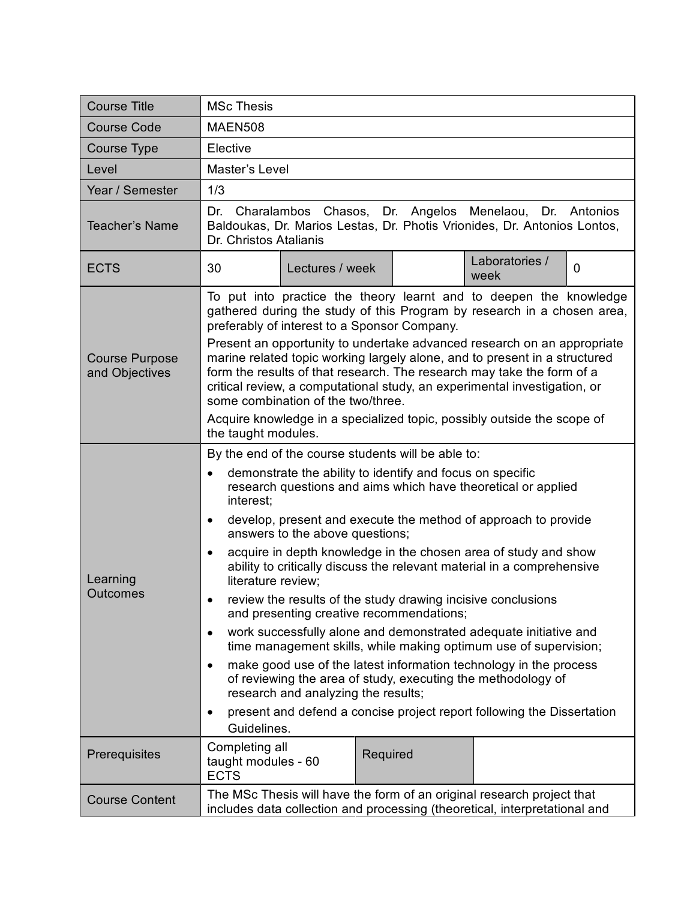| <b>Course Title</b>                     | <b>MSc Thesis</b>                                                                                                                                                                                                                                                                                                                                                                                                                                                                                                                                                                                                                                                                                                                                                                                                                                                                                                                                                                                                                                       |  |
|-----------------------------------------|---------------------------------------------------------------------------------------------------------------------------------------------------------------------------------------------------------------------------------------------------------------------------------------------------------------------------------------------------------------------------------------------------------------------------------------------------------------------------------------------------------------------------------------------------------------------------------------------------------------------------------------------------------------------------------------------------------------------------------------------------------------------------------------------------------------------------------------------------------------------------------------------------------------------------------------------------------------------------------------------------------------------------------------------------------|--|
| <b>Course Code</b>                      | <b>MAEN508</b>                                                                                                                                                                                                                                                                                                                                                                                                                                                                                                                                                                                                                                                                                                                                                                                                                                                                                                                                                                                                                                          |  |
| Course Type                             | Elective                                                                                                                                                                                                                                                                                                                                                                                                                                                                                                                                                                                                                                                                                                                                                                                                                                                                                                                                                                                                                                                |  |
| Level                                   | Master's Level                                                                                                                                                                                                                                                                                                                                                                                                                                                                                                                                                                                                                                                                                                                                                                                                                                                                                                                                                                                                                                          |  |
| Year / Semester                         | 1/3                                                                                                                                                                                                                                                                                                                                                                                                                                                                                                                                                                                                                                                                                                                                                                                                                                                                                                                                                                                                                                                     |  |
| <b>Teacher's Name</b>                   | Dr. Charalambos Chasos, Dr. Angelos Menelaou, Dr. Antonios<br>Baldoukas, Dr. Marios Lestas, Dr. Photis Vrionides, Dr. Antonios Lontos,<br>Dr. Christos Atalianis                                                                                                                                                                                                                                                                                                                                                                                                                                                                                                                                                                                                                                                                                                                                                                                                                                                                                        |  |
| <b>ECTS</b>                             | Laboratories /<br>30<br>$\mathbf{0}$<br>Lectures / week<br>week                                                                                                                                                                                                                                                                                                                                                                                                                                                                                                                                                                                                                                                                                                                                                                                                                                                                                                                                                                                         |  |
| <b>Course Purpose</b><br>and Objectives | To put into practice the theory learnt and to deepen the knowledge<br>gathered during the study of this Program by research in a chosen area,<br>preferably of interest to a Sponsor Company.<br>Present an opportunity to undertake advanced research on an appropriate<br>marine related topic working largely alone, and to present in a structured<br>form the results of that research. The research may take the form of a<br>critical review, a computational study, an experimental investigation, or<br>some combination of the two/three.<br>Acquire knowledge in a specialized topic, possibly outside the scope of<br>the taught modules.                                                                                                                                                                                                                                                                                                                                                                                                   |  |
| Learning<br>Outcomes                    | By the end of the course students will be able to:<br>demonstrate the ability to identify and focus on specific<br>$\bullet$<br>research questions and aims which have theoretical or applied<br>interest;<br>develop, present and execute the method of approach to provide<br>$\bullet$<br>answers to the above questions;<br>acquire in depth knowledge in the chosen area of study and show<br>ability to critically discuss the relevant material in a comprehensive<br>literature review;<br>review the results of the study drawing incisive conclusions<br>and presenting creative recommendations;<br>work successfully alone and demonstrated adequate initiative and<br>$\bullet$<br>time management skills, while making optimum use of supervision;<br>make good use of the latest information technology in the process<br>$\bullet$<br>of reviewing the area of study, executing the methodology of<br>research and analyzing the results;<br>present and defend a concise project report following the Dissertation<br>٠<br>Guidelines. |  |
| Prerequisites                           | Completing all<br>Required<br>taught modules - 60<br><b>ECTS</b>                                                                                                                                                                                                                                                                                                                                                                                                                                                                                                                                                                                                                                                                                                                                                                                                                                                                                                                                                                                        |  |
| <b>Course Content</b>                   | The MSc Thesis will have the form of an original research project that<br>includes data collection and processing (theoretical, interpretational and                                                                                                                                                                                                                                                                                                                                                                                                                                                                                                                                                                                                                                                                                                                                                                                                                                                                                                    |  |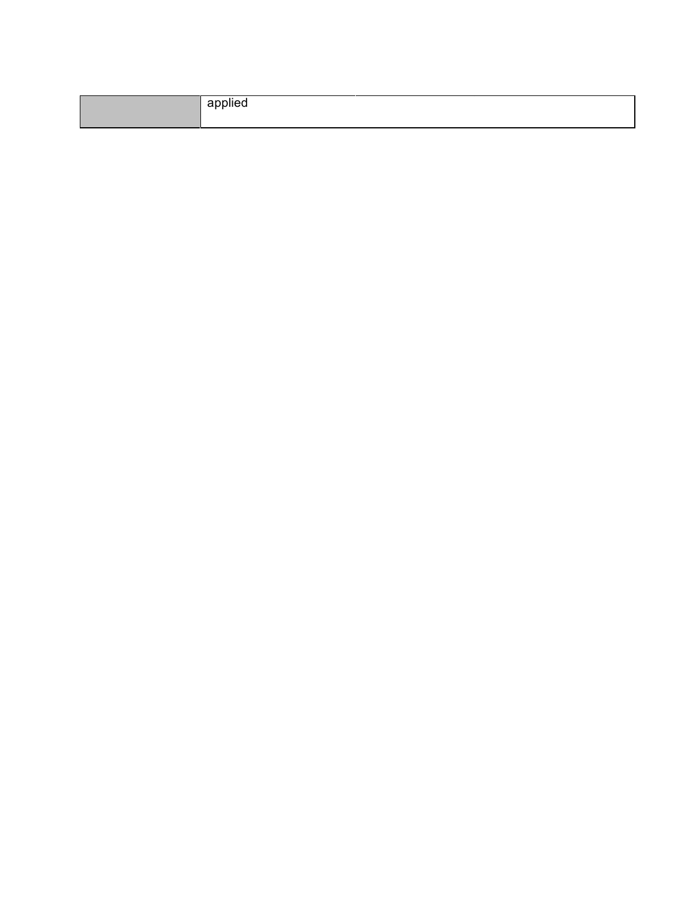| applied |
|---------|
|         |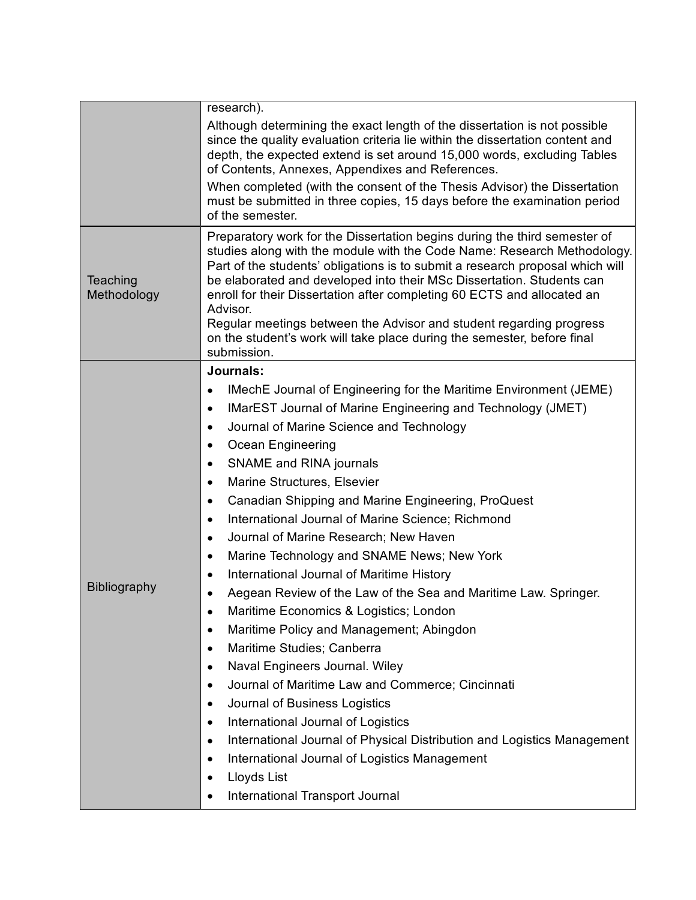|                         | research).                                                                                                                                                                                                                                                                                                                                                                                                                                                                                                                                                             |  |
|-------------------------|------------------------------------------------------------------------------------------------------------------------------------------------------------------------------------------------------------------------------------------------------------------------------------------------------------------------------------------------------------------------------------------------------------------------------------------------------------------------------------------------------------------------------------------------------------------------|--|
|                         | Although determining the exact length of the dissertation is not possible<br>since the quality evaluation criteria lie within the dissertation content and<br>depth, the expected extend is set around 15,000 words, excluding Tables<br>of Contents, Annexes, Appendixes and References.                                                                                                                                                                                                                                                                              |  |
|                         | When completed (with the consent of the Thesis Advisor) the Dissertation<br>must be submitted in three copies, 15 days before the examination period<br>of the semester.                                                                                                                                                                                                                                                                                                                                                                                               |  |
| Teaching<br>Methodology | Preparatory work for the Dissertation begins during the third semester of<br>studies along with the module with the Code Name: Research Methodology.<br>Part of the students' obligations is to submit a research proposal which will<br>be elaborated and developed into their MSc Dissertation. Students can<br>enroll for their Dissertation after completing 60 ECTS and allocated an<br>Advisor.<br>Regular meetings between the Advisor and student regarding progress<br>on the student's work will take place during the semester, before final<br>submission. |  |
|                         | Journals:                                                                                                                                                                                                                                                                                                                                                                                                                                                                                                                                                              |  |
|                         | IMechE Journal of Engineering for the Maritime Environment (JEME)<br>$\bullet$                                                                                                                                                                                                                                                                                                                                                                                                                                                                                         |  |
|                         | IMarEST Journal of Marine Engineering and Technology (JMET)<br>$\bullet$                                                                                                                                                                                                                                                                                                                                                                                                                                                                                               |  |
|                         | Journal of Marine Science and Technology<br>$\bullet$                                                                                                                                                                                                                                                                                                                                                                                                                                                                                                                  |  |
|                         | Ocean Engineering<br>$\bullet$                                                                                                                                                                                                                                                                                                                                                                                                                                                                                                                                         |  |
|                         | SNAME and RINA journals<br>$\bullet$                                                                                                                                                                                                                                                                                                                                                                                                                                                                                                                                   |  |
|                         | Marine Structures, Elsevier<br>$\bullet$                                                                                                                                                                                                                                                                                                                                                                                                                                                                                                                               |  |
|                         | Canadian Shipping and Marine Engineering, ProQuest<br>$\bullet$                                                                                                                                                                                                                                                                                                                                                                                                                                                                                                        |  |
|                         | International Journal of Marine Science; Richmond<br>$\bullet$                                                                                                                                                                                                                                                                                                                                                                                                                                                                                                         |  |
|                         | Journal of Marine Research; New Haven<br>$\bullet$                                                                                                                                                                                                                                                                                                                                                                                                                                                                                                                     |  |
|                         | Marine Technology and SNAME News; New York<br>$\bullet$                                                                                                                                                                                                                                                                                                                                                                                                                                                                                                                |  |
| Bibliography            | International Journal of Maritime History<br>$\bullet$                                                                                                                                                                                                                                                                                                                                                                                                                                                                                                                 |  |
|                         | Aegean Review of the Law of the Sea and Maritime Law. Springer.<br>$\bullet$                                                                                                                                                                                                                                                                                                                                                                                                                                                                                           |  |
|                         | Maritime Economics & Logistics; London                                                                                                                                                                                                                                                                                                                                                                                                                                                                                                                                 |  |
|                         | Maritime Policy and Management; Abingdon<br>$\bullet$                                                                                                                                                                                                                                                                                                                                                                                                                                                                                                                  |  |
|                         | Maritime Studies; Canberra<br>$\bullet$                                                                                                                                                                                                                                                                                                                                                                                                                                                                                                                                |  |
|                         | Naval Engineers Journal. Wiley<br>$\bullet$                                                                                                                                                                                                                                                                                                                                                                                                                                                                                                                            |  |
|                         | Journal of Maritime Law and Commerce; Cincinnati<br>$\bullet$                                                                                                                                                                                                                                                                                                                                                                                                                                                                                                          |  |
|                         | Journal of Business Logistics<br>$\bullet$                                                                                                                                                                                                                                                                                                                                                                                                                                                                                                                             |  |
|                         | International Journal of Logistics<br>$\bullet$                                                                                                                                                                                                                                                                                                                                                                                                                                                                                                                        |  |
|                         | International Journal of Physical Distribution and Logistics Management<br>$\bullet$<br>International Journal of Logistics Management                                                                                                                                                                                                                                                                                                                                                                                                                                  |  |
|                         | $\bullet$<br>Lloyds List<br>$\bullet$                                                                                                                                                                                                                                                                                                                                                                                                                                                                                                                                  |  |
|                         | International Transport Journal                                                                                                                                                                                                                                                                                                                                                                                                                                                                                                                                        |  |
|                         |                                                                                                                                                                                                                                                                                                                                                                                                                                                                                                                                                                        |  |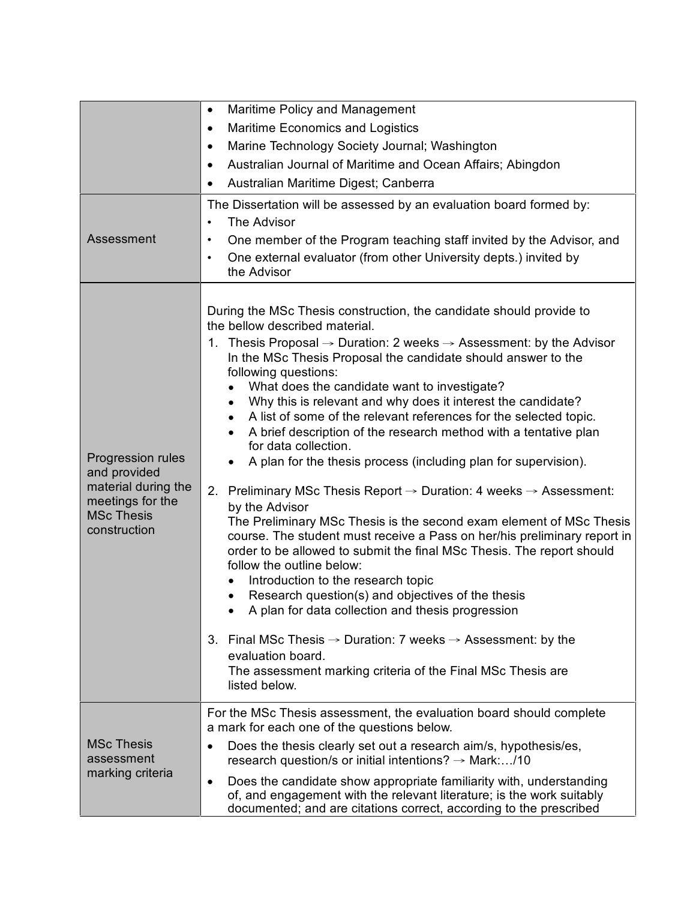|                                                                                                                   | Maritime Policy and Management<br>$\bullet$                                                                                                                                                                                                                                                                                                                                                                                                                                                                                                                                                                                                                                                                                                                                                                                                                                                                                                                                                                                                                                                                                                                                                                                                                                                                                                                                                            |
|-------------------------------------------------------------------------------------------------------------------|--------------------------------------------------------------------------------------------------------------------------------------------------------------------------------------------------------------------------------------------------------------------------------------------------------------------------------------------------------------------------------------------------------------------------------------------------------------------------------------------------------------------------------------------------------------------------------------------------------------------------------------------------------------------------------------------------------------------------------------------------------------------------------------------------------------------------------------------------------------------------------------------------------------------------------------------------------------------------------------------------------------------------------------------------------------------------------------------------------------------------------------------------------------------------------------------------------------------------------------------------------------------------------------------------------------------------------------------------------------------------------------------------------|
|                                                                                                                   | Maritime Economics and Logistics<br>$\bullet$                                                                                                                                                                                                                                                                                                                                                                                                                                                                                                                                                                                                                                                                                                                                                                                                                                                                                                                                                                                                                                                                                                                                                                                                                                                                                                                                                          |
|                                                                                                                   | Marine Technology Society Journal; Washington<br>٠                                                                                                                                                                                                                                                                                                                                                                                                                                                                                                                                                                                                                                                                                                                                                                                                                                                                                                                                                                                                                                                                                                                                                                                                                                                                                                                                                     |
|                                                                                                                   | Australian Journal of Maritime and Ocean Affairs; Abingdon<br>$\bullet$                                                                                                                                                                                                                                                                                                                                                                                                                                                                                                                                                                                                                                                                                                                                                                                                                                                                                                                                                                                                                                                                                                                                                                                                                                                                                                                                |
|                                                                                                                   | Australian Maritime Digest; Canberra<br>$\bullet$                                                                                                                                                                                                                                                                                                                                                                                                                                                                                                                                                                                                                                                                                                                                                                                                                                                                                                                                                                                                                                                                                                                                                                                                                                                                                                                                                      |
| Assessment                                                                                                        | The Dissertation will be assessed by an evaluation board formed by:<br>The Advisor<br>$\bullet$<br>One member of the Program teaching staff invited by the Advisor, and<br>$\bullet$<br>One external evaluator (from other University depts.) invited by<br>$\bullet$<br>the Advisor                                                                                                                                                                                                                                                                                                                                                                                                                                                                                                                                                                                                                                                                                                                                                                                                                                                                                                                                                                                                                                                                                                                   |
| Progression rules<br>and provided<br>material during the<br>meetings for the<br><b>MSc Thesis</b><br>construction | During the MSc Thesis construction, the candidate should provide to<br>the bellow described material.<br>1. Thesis Proposal $\rightarrow$ Duration: 2 weeks $\rightarrow$ Assessment: by the Advisor<br>In the MSc Thesis Proposal the candidate should answer to the<br>following questions:<br>What does the candidate want to investigate?<br>Why this is relevant and why does it interest the candidate?<br>٠<br>A list of some of the relevant references for the selected topic.<br>$\bullet$<br>A brief description of the research method with a tentative plan<br>for data collection.<br>A plan for the thesis process (including plan for supervision).<br>2. Preliminary MSc Thesis Report $\rightarrow$ Duration: 4 weeks $\rightarrow$ Assessment:<br>by the Advisor<br>The Preliminary MSc Thesis is the second exam element of MSc Thesis<br>course. The student must receive a Pass on her/his preliminary report in<br>order to be allowed to submit the final MSc Thesis. The report should<br>follow the outline below:<br>Introduction to the research topic<br>Research question(s) and objectives of the thesis<br>$\bullet$<br>A plan for data collection and thesis progression<br>3. Final MSc Thesis $\rightarrow$ Duration: 7 weeks $\rightarrow$ Assessment: by the<br>evaluation board.<br>The assessment marking criteria of the Final MSc Thesis are<br>listed below. |
| <b>MSc Thesis</b><br>assessment<br>marking criteria                                                               | For the MSc Thesis assessment, the evaluation board should complete<br>a mark for each one of the questions below.<br>Does the thesis clearly set out a research aim/s, hypothesis/es,<br>٠<br>research question/s or initial intentions? $\rightarrow$ Mark:/10                                                                                                                                                                                                                                                                                                                                                                                                                                                                                                                                                                                                                                                                                                                                                                                                                                                                                                                                                                                                                                                                                                                                       |
|                                                                                                                   | Does the candidate show appropriate familiarity with, understanding<br>$\bullet$<br>of, and engagement with the relevant literature; is the work suitably<br>documented; and are citations correct, according to the prescribed                                                                                                                                                                                                                                                                                                                                                                                                                                                                                                                                                                                                                                                                                                                                                                                                                                                                                                                                                                                                                                                                                                                                                                        |